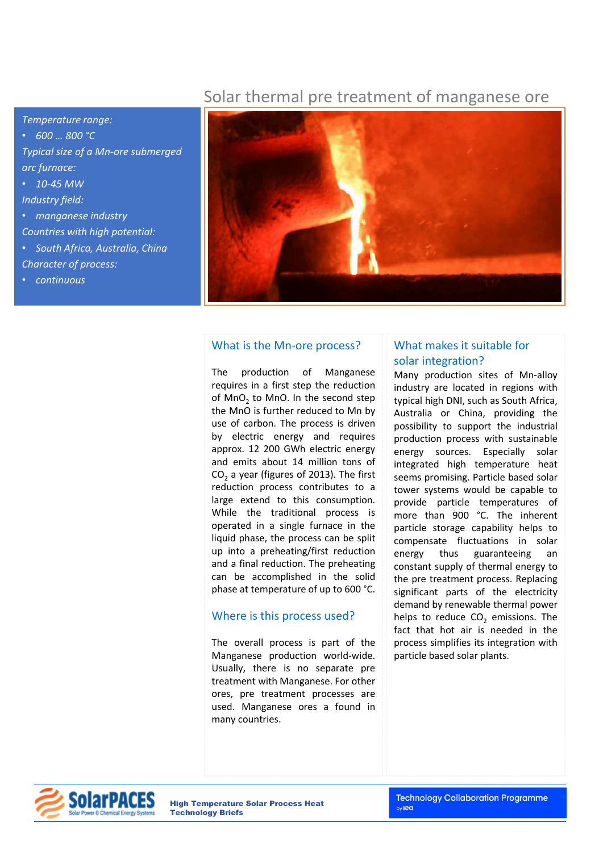# Solar thermal pre treatment of manganese ore

*Temperature range:*  • *600 … 800 °C Typical size of a Mn-ore submerged arc furnace:*  • *10-45 MW Industry field:*  • *manganese industry Countries with high potential:*  • *South Africa, Australia, China Character of process:*  • *continuous*



### What is the Mn-ore process?

The production of Manganese requires in a first step the reduction of  $MnO<sub>2</sub>$  to  $MnO<sub>2</sub>$ . In the second step the MnO is further reduced to Mn by use of carbon. The process is driven by electric energy and requires approx. 12 200 GWh electric energy and emits about 14 million tons of  $CO<sub>2</sub>$  a year (figures of 2013). The first reduction process contributes to a large extend to this consumption. While the traditional process is operated in a single furnace in the liquid phase, the process can be split up into a preheating/first reduction and a final reduction. The preheating can be accomplished in the solid phase at temperature of up to 600 °C.

#### Where is this process used?

The overall process is part of the Manganese production world-wide. Usually, there is no separate pre treatment with Manganese. For other ores, pre treatment processes are used. Manganese ores a found in many countries.

## What makes it suitable for solar integration?

Many production sites of Mn-alloy industry are located in regions with typical high DNI, such as South Africa, Australia or China, providing the possibility to support the industrial production process with sustainable energy sources. Especially solar integrated high temperature heat seems promising. Particle based solar tower systems would be capable to provide particle temperatures of more than 900 °C. The inherent particle storage capability helps to compensate fluctuations in solar energy thus guaranteeing an constant supply of thermal energy to the pre treatment process. Replacing significant parts of the electricity demand by renewable thermal power helps to reduce  $CO<sub>2</sub>$  emissions. The fact that hot air is needed in the process simplifies its integration with particle based solar plants.



High Temperature Solar Process Heat Technology Briefs